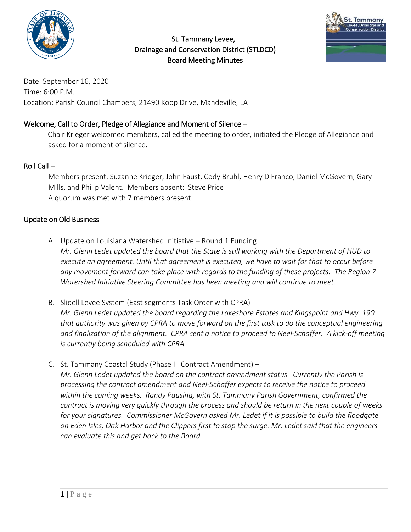

 St. Tammany Levee, Drainage and Conservation District (STLDCD) Board Meeting Minutes



Date: September 16, 2020 Time: 6:00 P.M. Location: Parish Council Chambers, 21490 Koop Drive, Mandeville, LA

# Welcome, Call to Order, Pledge of Allegiance and Moment of Silence –

Chair Krieger welcomed members, called the meeting to order, initiated the Pledge of Allegiance and asked for a moment of silence.

# Roll Call –

Members present: Suzanne Krieger, John Faust, Cody Bruhl, Henry DiFranco, Daniel McGovern, Gary Mills, and Philip Valent. Members absent: Steve Price A quorum was met with 7 members present.

## Update on Old Business

- A. Update on Louisiana Watershed Initiative Round 1 Funding *Mr. Glenn Ledet updated the board that the State is still working with the Department of HUD to execute an agreement. Until that agreement is executed, we have to wait for that to occur before any movement forward can take place with regards to the funding of these projects. The Region 7 Watershed Initiative Steering Committee has been meeting and will continue to meet.*
- B. Slidell Levee System (East segments Task Order with CPRA) *Mr. Glenn Ledet updated the board regarding the Lakeshore Estates and Kingspoint and Hwy. 190 that authority was given by CPRA to move forward on the first task to do the conceptual engineering and finalization of the alignment. CPRA sent a notice to proceed to Neel-Schaffer. A kick-off meeting is currently being scheduled with CPRA.*
- C. St. Tammany Coastal Study (Phase III Contract Amendment) *Mr. Glenn Ledet updated the board on the contract amendment status. Currently the Parish is processing the contract amendment and Neel-Schaffer expects to receive the notice to proceed within the coming weeks. Randy Pausina, with St. Tammany Parish Government, confirmed the contract is moving very quickly through the process and should be return in the next couple of weeks for your signatures. Commissioner McGovern asked Mr. Ledet if it is possible to build the floodgate on Eden Isles, Oak Harbor and the Clippers first to stop the surge. Mr. Ledet said that the engineers can evaluate this and get back to the Board.*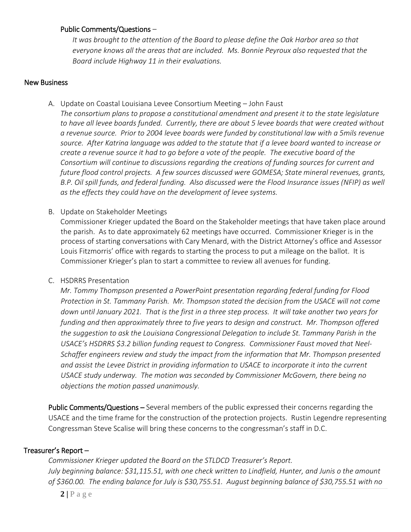#### Public Comments/Questions –

*It was brought to the attention of the Board to please define the Oak Harbor area so that everyone knows all the areas that are included. Ms. Bonnie Peyroux also requested that the Board include Highway 11 in their evaluations.* 

#### New Business

A. Update on Coastal Louisiana Levee Consortium Meeting – John Faust

*The consortium plans to propose a constitutional amendment and present it to the state legislature to have all levee boards funded. Currently, there are about 5 levee boards that were created without a revenue source. Prior to 2004 levee boards were funded by constitutional law with a 5mils revenue source. After Katrina language was added to the statute that if a levee board wanted to increase or create a revenue source it had to go before a vote of the people. The executive board of the Consortium will continue to discussions regarding the creations of funding sources for current and future flood control projects. A few sources discussed were GOMESA; State mineral revenues, grants, B.P. Oil spill funds, and federal funding. Also discussed were the Flood Insurance issues (NFIP) as well as the effects they could have on the development of levee systems.*

B. Update on Stakeholder Meetings

Commissioner Krieger updated the Board on the Stakeholder meetings that have taken place around the parish. As to date approximately 62 meetings have occurred. Commissioner Krieger is in the process of starting conversations with Cary Menard, with the District Attorney's office and Assessor Louis Fitzmorris' office with regards to starting the process to put a mileage on the ballot. It is Commissioner Krieger's plan to start a committee to review all avenues for funding.

#### C. HSDRRS Presentation

*Mr. Tommy Thompson presented a PowerPoint presentation regarding federal funding for Flood Protection in St. Tammany Parish. Mr. Thompson stated the decision from the USACE will not come down until January 2021. That is the first in a three step process. It will take another two years for funding and then approximately three to five years to design and construct. Mr. Thompson offered the suggestion to ask the Louisiana Congressional Delegation to include St. Tammany Parish in the USACE's HSDRRS \$3.2 billion funding request to Congress. Commissioner Faust moved that Neel-Schaffer engineers review and study the impact from the information that Mr. Thompson presented and assist the Levee District in providing information to USACE to incorporate it into the current USACE study underway. The motion was seconded by Commissioner McGovern, there being no objections the motion passed unanimously.*

Public Comments/Questions – Several members of the public expressed their concerns regarding the USACE and the time frame for the construction of the protection projects. Rustin Legendre representing Congressman Steve Scalise will bring these concerns to the congressman's staff in D.C.

#### Treasurer's Report –

*Commissioner Krieger updated the Board on the STLDCD Treasurer's Report. July beginning balance: \$31,115.51, with one check written to Lindfield, Hunter, and Junis o the amount of \$360.00. The ending balance for July is \$30,755.51. August beginning balance of \$30,755.51 with no*